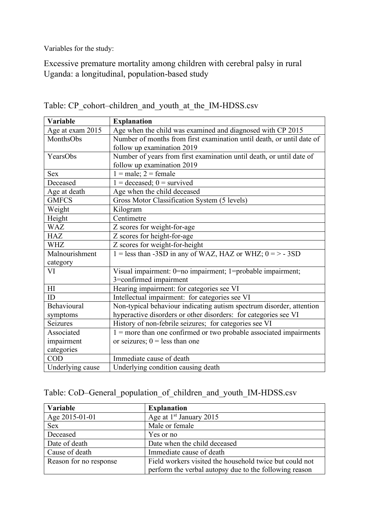Variables for the study:

Excessive premature mortality among children with cerebral palsy in rural Uganda: a longitudinal, population-based study

| Variable         | <b>Explanation</b>                                                    |  |  |
|------------------|-----------------------------------------------------------------------|--|--|
| Age at exam 2015 | Age when the child was examined and diagnosed with CP 2015            |  |  |
| MonthsObs        | Number of months from first examination until death, or until date of |  |  |
|                  | follow up examination 2019                                            |  |  |
| YearsObs         | Number of years from first examination until death, or until date of  |  |  |
|                  | follow up examination 2019                                            |  |  |
| <b>Sex</b>       | $1 = male$ ; $2 = female$                                             |  |  |
| Deceased         | $1 =$ deceased; $0 =$ survived                                        |  |  |
| Age at death     | Age when the child deceased                                           |  |  |
| <b>GMFCS</b>     | Gross Motor Classification System (5 levels)                          |  |  |
| Weight           | Kilogram                                                              |  |  |
| Height           | Centimetre                                                            |  |  |
| <b>WAZ</b>       | Z scores for weight-for-age                                           |  |  |
| <b>HAZ</b>       | Z scores for height-for-age                                           |  |  |
| WHZ              | Z scores for weight-for-height                                        |  |  |
| Malnourishment   | 1 = less than -3SD in any of WAZ, HAZ or WHZ; $0 = > -3SD$            |  |  |
| category         |                                                                       |  |  |
| VI               | Visual impairment: 0=no impairment; 1=probable impairment;            |  |  |
|                  | 3=confirmed impairment                                                |  |  |
| H1               | Hearing impairment: for categories see VI                             |  |  |
| ID               | Intellectual impairment: for categories see VI                        |  |  |
| Behavioural      | Non-typical behaviour indicating autism spectrum disorder, attention  |  |  |
| symptoms         | hyperactive disorders or other disorders: for categories see VI       |  |  |
| Seizures         | History of non-febrile seizures; for categories see VI                |  |  |
| Associated       | $1 =$ more than one confirmed or two probable associated impairments  |  |  |
| impairment       | or seizures; $0 =$ less than one                                      |  |  |
| categories       |                                                                       |  |  |
| COD              | Immediate cause of death                                              |  |  |
| Underlying cause | Underlying condition causing death                                    |  |  |

Table: CP\_cohort–children\_and\_youth\_at\_the\_IM-HDSS.csv

| Table: CoD–General_population_of_children_and_youth_IM-HDSS.csv |  |  |  |  |
|-----------------------------------------------------------------|--|--|--|--|
|-----------------------------------------------------------------|--|--|--|--|

| Variable               | <b>Explanation</b>                                      |
|------------------------|---------------------------------------------------------|
| Age 2015-01-01         | Age at $1st$ January 2015                               |
| <b>Sex</b>             | Male or female                                          |
| Deceased               | Yes or no                                               |
| Date of death          | Date when the child deceased                            |
| Cause of death         | Immediate cause of death                                |
| Reason for no response | Field workers visited the household twice but could not |
|                        | perform the verbal autopsy due to the following reason  |